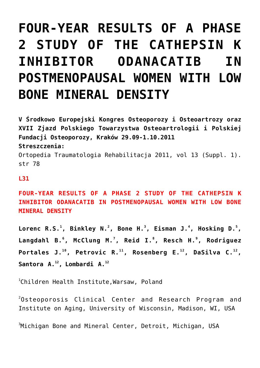## **[FOUR-YEAR RESULTS OF A PHASE](https://osteoporoza.pl/four-year-results-of-a-phase-2-study-of-the-cathepsin-k-inhibitor-odanacatib-in-postmenopausal-women-with-low-bone-mineral-density/) [2 STUDY OF THE CATHEPSIN K](https://osteoporoza.pl/four-year-results-of-a-phase-2-study-of-the-cathepsin-k-inhibitor-odanacatib-in-postmenopausal-women-with-low-bone-mineral-density/) [INHIBITOR ODANACATIB IN](https://osteoporoza.pl/four-year-results-of-a-phase-2-study-of-the-cathepsin-k-inhibitor-odanacatib-in-postmenopausal-women-with-low-bone-mineral-density/) [POSTMENOPAUSAL WOMEN WITH LOW](https://osteoporoza.pl/four-year-results-of-a-phase-2-study-of-the-cathepsin-k-inhibitor-odanacatib-in-postmenopausal-women-with-low-bone-mineral-density/) [BONE MINERAL DENSITY](https://osteoporoza.pl/four-year-results-of-a-phase-2-study-of-the-cathepsin-k-inhibitor-odanacatib-in-postmenopausal-women-with-low-bone-mineral-density/)**

**V Środkowo Europejski Kongres Osteoporozy i Osteoartrozy oraz XVII Zjazd Polskiego Towarzystwa Osteoartrologii i Polskiej Fundacji Osteoporozy, Kraków 29.09-1.10.2011 Streszczenia:** Ortopedia Traumatologia Rehabilitacja 2011, vol 13 (Suppl. 1). str 78

## **L31**

**FOUR-YEAR RESULTS OF A PHASE 2 STUDY OF THE CATHEPSIN K INHIBITOR ODANACATIB IN POSTMENOPAUSAL WOMEN WITH LOW BONE MINERAL DENSITY**

Lorenc R.S.<sup>1</sup>, Binkley N.<sup>2</sup>, Bone H.<sup>3</sup>, Eisman J.<sup>4</sup>, Hosking D.<sup>5</sup>, **Langdahl B.<sup>6</sup> , McClung M.<sup>7</sup> , Reid I.<sup>8</sup> , Resch H.<sup>9</sup> , Rodriguez Portales J.<sup>10</sup>, Petrovic R.<sup>11</sup>, Rosenberg E.<sup>12</sup>, DaSilva C.<sup>12</sup> , Santora A.<sup>12</sup> , Lombardi A.<sup>12</sup>**

1 Children Health Institute,Warsaw, Poland

 $^{2}$ Osteoporosis Clinical Center and Research Program and Institute on Aging, University of Wisconsin, Madison, WI, USA

 ${}^{3}$ Michigan Bone and Mineral Center, Detroit, Michigan, USA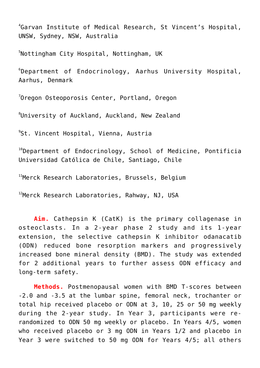4 Garvan Institute of Medical Research, St Vincent's Hospital, UNSW, Sydney, NSW, Australia

 $^5$ Nottingham City Hospital, Nottingham, UK

 $^6$ Department of Endocrinology, Aarhus University Hospital, Aarhus, Denmark

 ${\rm ^7}$ Oregon Osteoporosis Center, Portland, Oregon

 ${}^{8}$ University of Auckland, Auckland, New Zealand

9 St. Vincent Hospital, Vienna, Austria

 $100$  pepartment of Endocrinology, School of Medicine, Pontificia Universidad Católica de Chile, Santiago, Chile

<sup>11</sup>Merck Research Laboratories, Brussels, Belgium

<sup>12</sup>Merck Research Laboratories, Rahway, NJ, USA

**Aim.** Cathepsin K (CatK) is the primary collagenase in osteoclasts. In a 2-year phase 2 study and its 1-year extension, the selective cathepsin K inhibitor odanacatib (ODN) reduced bone resorption markers and progressively increased bone mineral density (BMD). The study was extended for 2 additional years to further assess ODN efficacy and long-term safety.

**Methods.** Postmenopausal women with BMD T-scores between -2.0 and -3.5 at the lumbar spine, femoral neck, trochanter or total hip received placebo or ODN at 3, 10, 25 or 50 mg weekly during the 2-year study. In Year 3, participants were rerandomized to ODN 50 mg weekly or placebo. In Years 4/5, women who received placebo or 3 mg ODN in Years 1/2 and placebo in Year 3 were switched to 50 mg ODN for Years 4/5; all others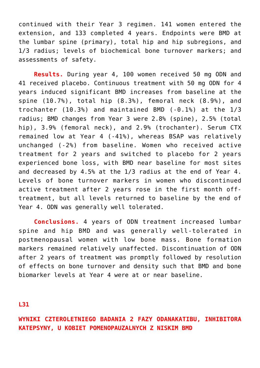continued with their Year 3 regimen. 141 women entered the extension, and 133 completed 4 years. Endpoints were BMD at the lumbar spine (primary), total hip and hip subregions, and 1/3 radius; levels of biochemical bone turnover markers; and assessments of safety.

**Results.** During year 4, 100 women received 50 mg ODN and 41 received placebo. Continuous treatment with 50 mg ODN for 4 years induced significant BMD increases from baseline at the spine (10.7%), total hip (8.3%), femoral neck (8.9%), and trochanter (10.3%) and maintained BMD (-0.1%) at the 1/3 radius; BMD changes from Year 3 were 2.8% (spine), 2.5% (total hip), 3.9% (femoral neck), and 2.9% (trochanter). Serum CTX remained low at Year 4 (-41%), whereas BSAP was relatively unchanged (-2%) from baseline. Women who received active treatment for 2 years and switched to placebo for 2 years experienced bone loss, with BMD near baseline for most sites and decreased by 4.5% at the 1/3 radius at the end of Year 4. Levels of bone turnover markers in women who discontinued active treatment after 2 years rose in the first month offtreatment, but all levels returned to baseline by the end of Year 4. ODN was generally well tolerated.

**Conclusions.** 4 years of ODN treatment increased lumbar spine and hip BMD and was generally well-tolerated in postmenopausal women with low bone mass. Bone formation markers remained relatively unaffected. Discontinuation of ODN after 2 years of treatment was promptly followed by resolution of effects on bone turnover and density such that BMD and bone biomarker levels at Year 4 were at or near baseline.

**L31**

## **WYNIKI CZTEROLETNIEGO BADANIA 2 FAZY ODANAKATIBU, INHIBITORA KATEPSYNY, U KOBIET POMENOPAUZALNYCH Z NISKIM BMD**